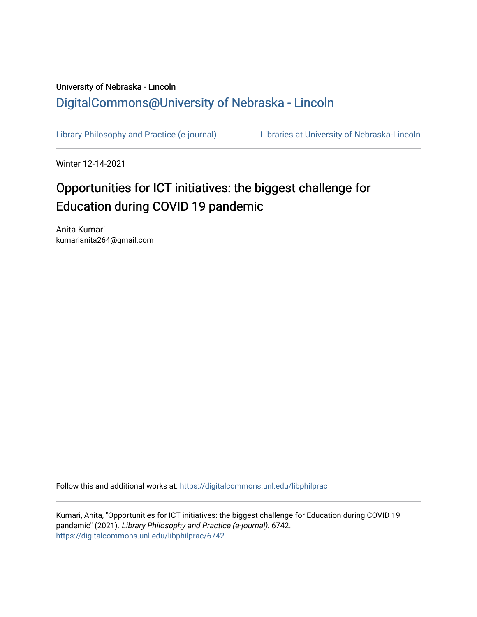## University of Nebraska - Lincoln [DigitalCommons@University of Nebraska - Lincoln](https://digitalcommons.unl.edu/)

[Library Philosophy and Practice \(e-journal\)](https://digitalcommons.unl.edu/libphilprac) [Libraries at University of Nebraska-Lincoln](https://digitalcommons.unl.edu/libraries) 

Winter 12-14-2021

# Opportunities for ICT initiatives: the biggest challenge for Education during COVID 19 pandemic

Anita Kumari kumarianita264@gmail.com

Follow this and additional works at: [https://digitalcommons.unl.edu/libphilprac](https://digitalcommons.unl.edu/libphilprac?utm_source=digitalcommons.unl.edu%2Flibphilprac%2F6742&utm_medium=PDF&utm_campaign=PDFCoverPages) 

Kumari, Anita, "Opportunities for ICT initiatives: the biggest challenge for Education during COVID 19 pandemic" (2021). Library Philosophy and Practice (e-journal). 6742. [https://digitalcommons.unl.edu/libphilprac/6742](https://digitalcommons.unl.edu/libphilprac/6742?utm_source=digitalcommons.unl.edu%2Flibphilprac%2F6742&utm_medium=PDF&utm_campaign=PDFCoverPages)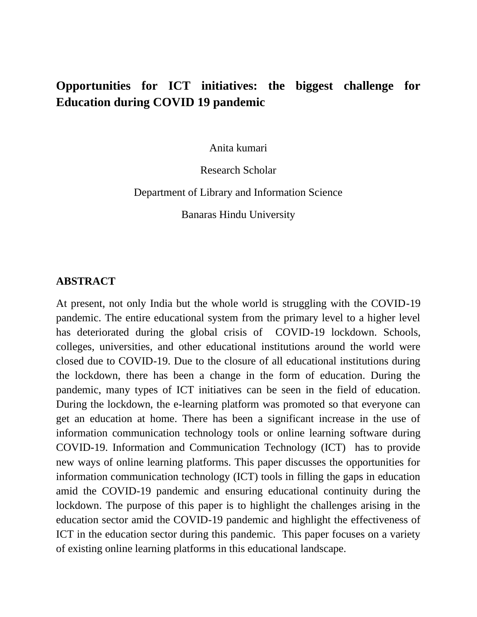## **Opportunities for ICT initiatives: the biggest challenge for Education during COVID 19 pandemic**

Anita kumari

Research Scholar

Department of Library and Information Science

Banaras Hindu University

#### **ABSTRACT**

At present, not only India but the whole world is struggling with the COVID-19 pandemic. The entire educational system from the primary level to a higher level has deteriorated during the global crisis of COVID-19 lockdown. Schools, colleges, universities, and other educational institutions around the world were closed due to COVID-19. Due to the closure of all educational institutions during the lockdown, there has been a change in the form of education. During the pandemic, many types of ICT initiatives can be seen in the field of education. During the lockdown, the e-learning platform was promoted so that everyone can get an education at home. There has been a significant increase in the use of information communication technology tools or online learning software during COVID-19. Information and Communication Technology (ICT) has to provide new ways of online learning platforms. This paper discusses the opportunities for information communication technology (ICT) tools in filling the gaps in education amid the COVID-19 pandemic and ensuring educational continuity during the lockdown. The purpose of this paper is to highlight the challenges arising in the education sector amid the COVID-19 pandemic and highlight the effectiveness of ICT in the education sector during this pandemic. This paper focuses on a variety of existing online learning platforms in this educational landscape.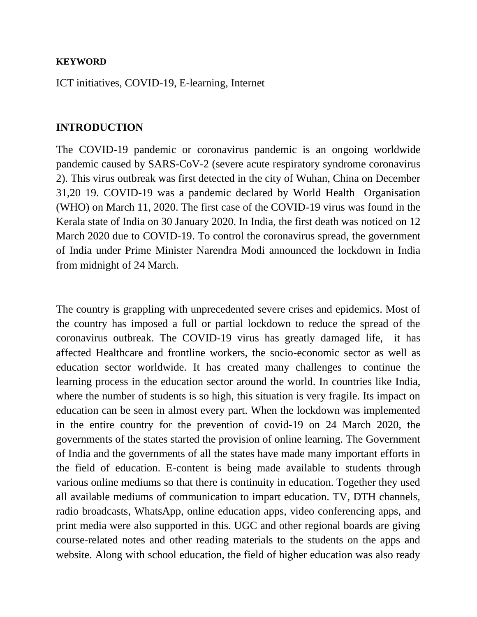#### **KEYWORD**

ICT initiatives, COVID-19, E-learning, Internet

#### **INTRODUCTION**

The COVID-19 pandemic or coronavirus pandemic is an ongoing worldwide pandemic caused by SARS-CoV-2 (severe acute respiratory syndrome coronavirus 2). This virus outbreak was first detected in the city of Wuhan, China on December 31,20 19. COVID-19 was a pandemic declared by World Health Organisation (WHO) on March 11, 2020. The first case of the COVID-19 virus was found in the Kerala state of India on 30 January 2020. In India, the first death was noticed on 12 March 2020 due to COVID-19. To control the coronavirus spread, the government of India under Prime Minister Narendra Modi announced the lockdown in India from midnight of 24 March.

The country is grappling with unprecedented severe crises and epidemics. Most of the country has imposed a full or partial lockdown to reduce the spread of the coronavirus outbreak. The COVID-19 virus has greatly damaged life, it has affected Healthcare and frontline workers, the socio-economic sector as well as education sector worldwide. It has created many challenges to continue the learning process in the education sector around the world. In countries like India, where the number of students is so high, this situation is very fragile. Its impact on education can be seen in almost every part. When the lockdown was implemented in the entire country for the prevention of covid-19 on 24 March 2020, the governments of the states started the provision of online learning. The Government of India and the governments of all the states have made many important efforts in the field of education. E-content is being made available to students through various online mediums so that there is continuity in education. Together they used all available mediums of communication to impart education. TV, DTH channels, radio broadcasts, WhatsApp, online education apps, video conferencing apps, and print media were also supported in this. UGC and other regional boards are giving course-related notes and other reading materials to the students on the apps and website. Along with school education, the field of higher education was also ready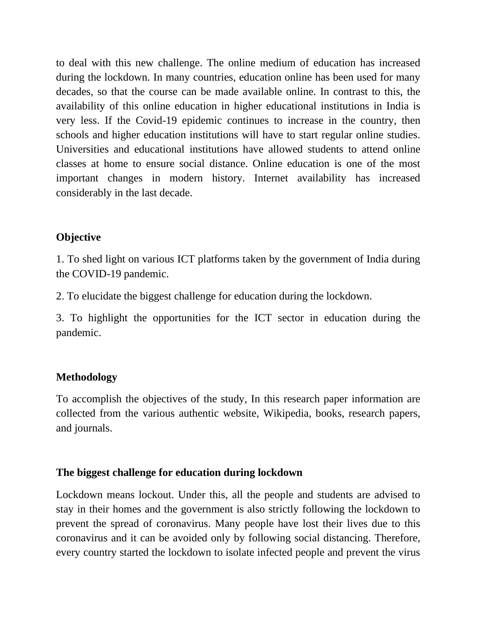to deal with this new challenge. The online medium of education has increased during the lockdown. In many countries, education online has been used for many decades, so that the course can be made available online. In contrast to this, the availability of this online education in higher educational institutions in India is very less. If the Covid-19 epidemic continues to increase in the country, then schools and higher education institutions will have to start regular online studies. Universities and educational institutions have allowed students to attend online classes at home to ensure social distance. Online education is one of the most important changes in modern history. Internet availability has increased considerably in the last decade.

### **Objective**

1. To shed light on various ICT platforms taken by the government of India during the COVID-19 pandemic.

2. To elucidate the biggest challenge for education during the lockdown.

3. To highlight the opportunities for the ICT sector in education during the pandemic.

#### **Methodology**

To accomplish the objectives of the study, In this research paper information are collected from the various authentic website, Wikipedia, books, research papers, and journals.

#### **The biggest challenge for education during lockdown**

Lockdown means lockout. Under this, all the people and students are advised to stay in their homes and the government is also strictly following the lockdown to prevent the spread of coronavirus. Many people have lost their lives due to this coronavirus and it can be avoided only by following social distancing. Therefore, every country started the lockdown to isolate infected people and prevent the virus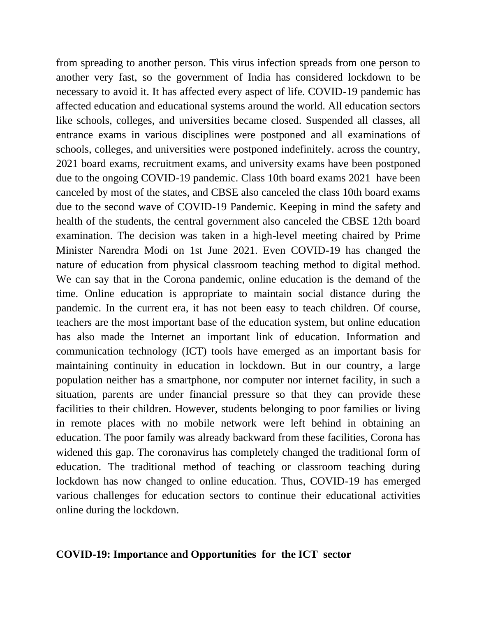from spreading to another person. This virus infection spreads from one person to another very fast, so the government of India has considered lockdown to be necessary to avoid it. It has affected every aspect of life. COVID-19 pandemic has affected education and educational systems around the world. All education sectors like schools, colleges, and universities became closed. Suspended all classes, all entrance exams in various disciplines were postponed and all examinations of schools, colleges, and universities were postponed indefinitely. across the country, 2021 board exams, recruitment exams, and university exams have been postponed due to the ongoing COVID-19 pandemic. Class 10th board exams 2021 have been canceled by most of the states, and CBSE also canceled the class 10th board exams due to the second wave of COVID-19 Pandemic. Keeping in mind the safety and health of the students, the central government also canceled the CBSE 12th board examination. The decision was taken in a high-level meeting chaired by Prime Minister Narendra Modi on 1st June 2021. Even COVID-19 has changed the nature of education from physical classroom teaching method to digital method. We can say that in the Corona pandemic, online education is the demand of the time. Online education is appropriate to maintain social distance during the pandemic. In the current era, it has not been easy to teach children. Of course, teachers are the most important base of the education system, but online education has also made the Internet an important link of education. Information and communication technology (ICT) tools have emerged as an important basis for maintaining continuity in education in lockdown. But in our country, a large population neither has a smartphone, nor computer nor internet facility, in such a situation, parents are under financial pressure so that they can provide these facilities to their children. However, students belonging to poor families or living in remote places with no mobile network were left behind in obtaining an education. The poor family was already backward from these facilities, Corona has widened this gap. The coronavirus has completely changed the traditional form of education. The traditional method of teaching or classroom teaching during lockdown has now changed to online education. Thus, COVID-19 has emerged various challenges for education sectors to continue their educational activities online during the lockdown.

#### **COVID-19: Importance and Opportunities for the ICT sector**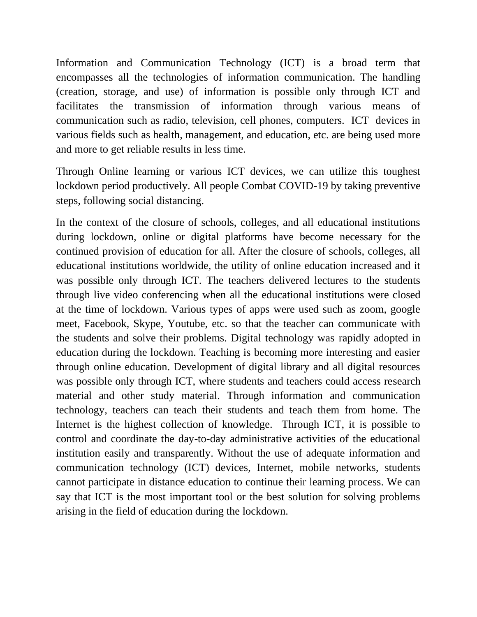Information and Communication Technology (ICT) is a broad term that encompasses all the technologies of information communication. The handling (creation, storage, and use) of information is possible only through ICT and facilitates the transmission of information through various means of communication such as radio, television, cell phones, computers. ICT devices in various fields such as health, management, and education, etc. are being used more and more to get reliable results in less time.

Through Online learning or various ICT devices, we can utilize this toughest lockdown period productively. All people Combat COVID-19 by taking preventive steps, following social distancing.

In the context of the closure of schools, colleges, and all educational institutions during lockdown, online or digital platforms have become necessary for the continued provision of education for all. After the closure of schools, colleges, all educational institutions worldwide, the utility of online education increased and it was possible only through ICT. The teachers delivered lectures to the students through live video conferencing when all the educational institutions were closed at the time of lockdown. Various types of apps were used such as zoom, google meet, Facebook, Skype, Youtube, etc. so that the teacher can communicate with the students and solve their problems. Digital technology was rapidly adopted in education during the lockdown. Teaching is becoming more interesting and easier through online education. Development of digital library and all digital resources was possible only through ICT, where students and teachers could access research material and other study material. Through information and communication technology, teachers can teach their students and teach them from home. The Internet is the highest collection of knowledge. Through ICT, it is possible to control and coordinate the day-to-day administrative activities of the educational institution easily and transparently. Without the use of adequate information and communication technology (ICT) devices, Internet, mobile networks, students cannot participate in distance education to continue their learning process. We can say that ICT is the most important tool or the best solution for solving problems arising in the field of education during the lockdown.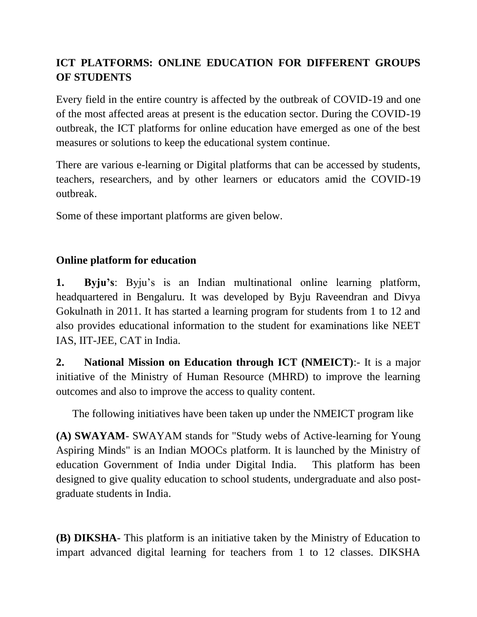### **ICT PLATFORMS: ONLINE EDUCATION FOR DIFFERENT GROUPS OF STUDENTS**

Every field in the entire country is affected by the outbreak of COVID-19 and one of the most affected areas at present is the education sector. During the COVID-19 outbreak, the ICT platforms for online education have emerged as one of the best measures or solutions to keep the educational system continue.

There are various e-learning or Digital platforms that can be accessed by students, teachers, researchers, and by other learners or educators amid the COVID-19 outbreak.

Some of these important platforms are given below.

### **Online platform for education**

**1. Byju's**: Byju's is an Indian multinational online learning platform, headquartered in Bengaluru. It was developed by Byju Raveendran and Divya Gokulnath in 2011. It has started a learning program for students from 1 to 12 and also provides educational information to the student for examinations like NEET IAS, IIT-JEE, CAT in India.

**2. National Mission on Education through ICT (NMEICT)**:- It is a major initiative of the Ministry of Human Resource (MHRD) to improve the learning outcomes and also to improve the access to quality content.

The following initiatives have been taken up under the NMEICT program like

**(A) SWAYAM**- SWAYAM stands for "Study webs of Active-learning for Young Aspiring Minds" is an Indian MOOCs platform. It is launched by the Ministry of education Government of India under Digital India. This platform has been designed to give quality education to school students, undergraduate and also postgraduate students in India.

**(B) DIKSHA**- This platform is an initiative taken by the Ministry of Education to impart advanced digital learning for teachers from 1 to 12 classes. DIKSHA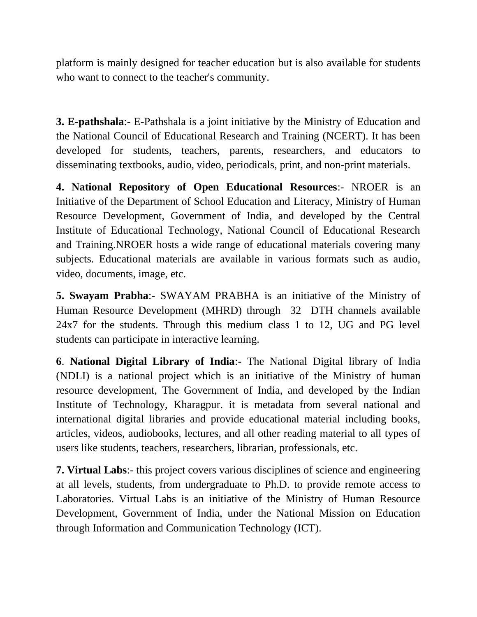platform is mainly designed for teacher education but is also available for students who want to connect to the teacher's community.

**3. E-pathshala**:- E-Pathshala is a joint initiative by the Ministry of Education and the National Council of Educational Research and Training (NCERT). It has been developed for students, teachers, parents, researchers, and educators to disseminating textbooks, audio, video, periodicals, print, and non-print materials.

**4. National Repository of Open Educational Resources**:- NROER is an Initiative of the Department of School Education and Literacy, Ministry of Human Resource Development, Government of India, and developed by the Central Institute of Educational Technology, National Council of Educational Research and Training.NROER hosts a wide range of educational materials covering many subjects. Educational materials are available in various formats such as audio, video, documents, image, etc.

**5. Swayam Prabha**:- SWAYAM PRABHA is an initiative of the Ministry of Human Resource Development (MHRD) through 32 DTH channels available 24x7 for the students. Through this medium class 1 to 12, UG and PG level students can participate in interactive learning.

**6**. **National Digital Library of India**:- The National Digital library of India (NDLI) is a national project which is an initiative of the Ministry of human resource development, The Government of India, and developed by the Indian Institute of Technology, Kharagpur. it is metadata from several national and international digital libraries and provide educational material including books, articles, videos, audiobooks, lectures, and all other reading material to all types of users like students, teachers, researchers, librarian, professionals, etc.

**7. Virtual Labs**:- this project covers various disciplines of science and engineering at all levels, students, from undergraduate to Ph.D. to provide remote access to Laboratories. Virtual Labs is an initiative of the Ministry of Human Resource Development, Government of India, under the National Mission on Education through Information and Communication Technology (ICT).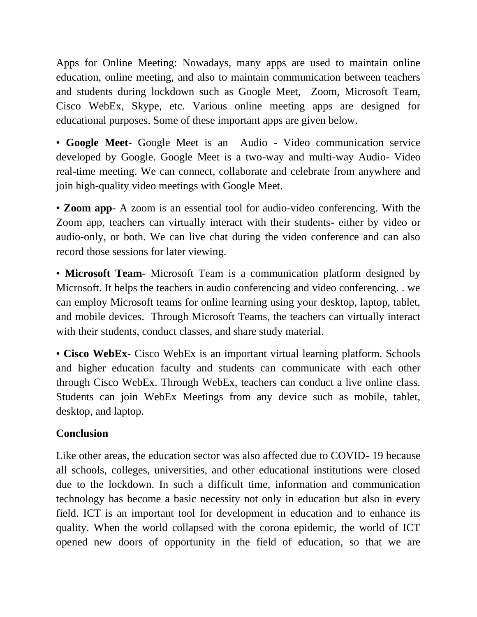Apps for Online Meeting: Nowadays, many apps are used to maintain online education, online meeting, and also to maintain communication between teachers and students during lockdown such as Google Meet, Zoom, Microsoft Team, Cisco WebEx, Skype, etc. Various online meeting apps are designed for educational purposes. Some of these important apps are given below.

• **Google Meet**- Google Meet is an Audio - Video communication service developed by Google. Google Meet is a two-way and multi-way Audio- Video real-time meeting. We can connect, collaborate and celebrate from anywhere and join high-quality video meetings with Google Meet.

• **Zoom app**- A zoom is an essential tool for audio-video conferencing. With the Zoom app, teachers can virtually interact with their students- either by video or audio-only, or both. We can live chat during the video conference and can also record those sessions for later viewing.

• **Microsoft Team**- Microsoft Team is a communication platform designed by Microsoft. It helps the teachers in audio conferencing and video conferencing. . we can employ Microsoft teams for online learning using your desktop, laptop, tablet, and mobile devices. Through Microsoft Teams, the teachers can virtually interact with their students, conduct classes, and share study material.

• **Cisco WebEx**- Cisco WebEx is an important virtual learning platform. Schools and higher education faculty and students can communicate with each other through Cisco WebEx. Through WebEx, teachers can conduct a live online class. Students can join WebEx Meetings from any device such as mobile, tablet, desktop, and laptop.

### **Conclusion**

Like other areas, the education sector was also affected due to COVID- 19 because all schools, colleges, universities, and other educational institutions were closed due to the lockdown. In such a difficult time, information and communication technology has become a basic necessity not only in education but also in every field. ICT is an important tool for development in education and to enhance its quality. When the world collapsed with the corona epidemic, the world of ICT opened new doors of opportunity in the field of education, so that we are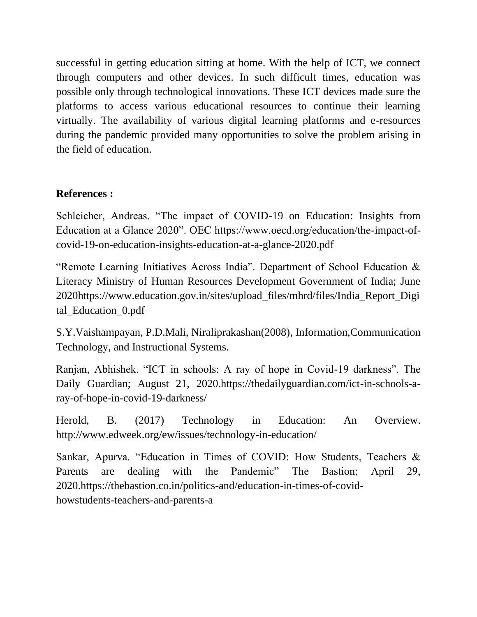successful in getting education sitting at home. With the help of ICT, we connect through computers and other devices. In such difficult times, education was possible only through technological innovations. These ICT devices made sure the platforms to access various educational resources to continue their learning virtually. The availability of various digital learning platforms and e-resources during the pandemic provided many opportunities to solve the problem arising in the field of education.

### **References :**

Schleicher, Andreas. "The impact of COVID-19 on Education: Insights from Education at a Glance 2020". OEC https://www.oecd.org/education/the-impact-ofcovid-19-on-education-insights-education-at-a-glance-2020.pdf

"Remote Learning Initiatives Across India". Department of School Education & Literacy Ministry of Human Resources Development Government of India; June 2020https://www.education.gov.in/sites/upload\_files/mhrd/files/India\_Report\_Digi tal\_Education\_0.pdf

S.Y.Vaishampayan, P.D.Mali, Niraliprakashan(2008), Information,Communication Technology, and Instructional Systems.

Ranjan, Abhishek. "ICT in schools: A ray of hope in Covid-19 darkness". The Daily Guardian; August 21, 2020.https://thedailyguardian.com/ict-in-schools-aray-of-hope-in-covid-19-darkness/

Herold, B. (2017) Technology in Education: An Overview. http://www.edweek.org/ew/issues/technology-in-education/

Sankar, Apurva. "Education in Times of COVID: How Students, Teachers & Parents are dealing with the Pandemic" The Bastion; April 29, 2020.https://thebastion.co.in/politics-and/education-in-times-of-covidhowstudents-teachers-and-parents-a